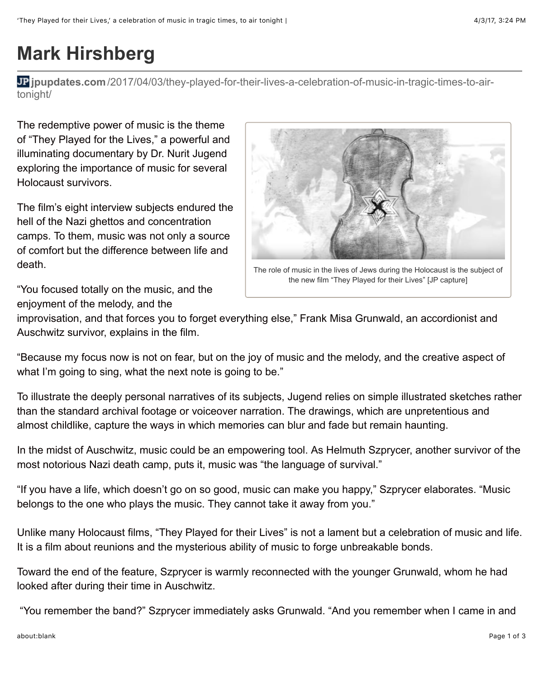## **Mark Hirshberg**

**jpupdates.com**[/2017/04/03/they-played-for-their-lives-a-celebration-of-music-in-tragic-times-to-air](http://jpupdates.com/2017/04/03/they-played-for-their-lives-a-celebration-of-music-in-tragic-times-to-air-tonight/)tonight/

The redemptive power of music is the theme of "They Played for the Lives," a powerful and illuminating documentary by Dr. Nurit Jugend exploring the importance of music for several Holocaust survivors.

The film's eight interview subjects endured the hell of the Nazi ghettos and concentration camps. To them, music was not only a source of comfort but the difference between life and death.

The role of music in the lives of Jews during the Holocaust is the subject of the new film "They Played for their Lives" [JP capture]

"You focused totally on the music, and the enjoyment of the melody, and the

improvisation, and that forces you to forget everything else," Frank Misa Grunwald, an accordionist and Auschwitz survivor, explains in the film.

"Because my focus now is not on fear, but on the joy of music and the melody, and the creative aspect of what I'm going to sing, what the next note is going to be."

To illustrate the deeply personal narratives of its subjects, Jugend relies on simple illustrated sketches rather than the standard archival footage or voiceover narration. The drawings, which are unpretentious and almost childlike, capture the ways in which memories can blur and fade but remain haunting.

In the midst of Auschwitz, music could be an empowering tool. As Helmuth Szprycer, another survivor of the most notorious Nazi death camp, puts it, music was "the language of survival."

"If you have a life, which doesn't go on so good, music can make you happy," Szprycer elaborates. "Music belongs to the one who plays the music. They cannot take it away from you."

Unlike many Holocaust films, "They Played for their Lives" is not a lament but a celebration of music and life. It is a film about reunions and the mysterious ability of music to forge unbreakable bonds.

Toward the end of the feature, Szprycer is warmly reconnected with the younger Grunwald, whom he had looked after during their time in Auschwitz.

"You remember the band?" Szprycer immediately asks Grunwald. "And you remember when I came in and